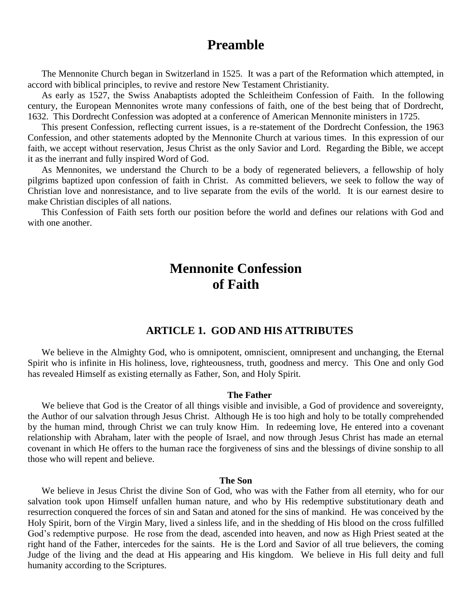## **Preamble**

The Mennonite Church began in Switzerland in 1525. It was a part of the Reformation which attempted, in accord with biblical principles, to revive and restore New Testament Christianity.

As early as 1527, the Swiss Anabaptists adopted the Schleitheim Confession of Faith. In the following century, the European Mennonites wrote many confessions of faith, one of the best being that of Dordrecht, 1632. This Dordrecht Confession was adopted at a conference of American Mennonite ministers in 1725.

This present Confession, reflecting current issues, is a re-statement of the Dordrecht Confession, the 1963 Confession, and other statements adopted by the Mennonite Church at various times. In this expression of our faith, we accept without reservation, Jesus Christ as the only Savior and Lord. Regarding the Bible, we accept it as the inerrant and fully inspired Word of God.

As Mennonites, we understand the Church to be a body of regenerated believers, a fellowship of holy pilgrims baptized upon confession of faith in Christ. As committed believers, we seek to follow the way of Christian love and nonresistance, and to live separate from the evils of the world. It is our earnest desire to make Christian disciples of all nations.

This Confession of Faith sets forth our position before the world and defines our relations with God and with one another.

## **Mennonite Confession of Faith**

#### **ARTICLE 1. GOD AND HIS ATTRIBUTES**

We believe in the Almighty God, who is omnipotent, omniscient, omnipresent and unchanging, the Eternal Spirit who is infinite in His holiness, love, righteousness, truth, goodness and mercy. This One and only God has revealed Himself as existing eternally as Father, Son, and Holy Spirit.

#### **The Father**

We believe that God is the Creator of all things visible and invisible, a God of providence and sovereignty, the Author of our salvation through Jesus Christ. Although He is too high and holy to be totally comprehended by the human mind, through Christ we can truly know Him. In redeeming love, He entered into a covenant relationship with Abraham, later with the people of Israel, and now through Jesus Christ has made an eternal covenant in which He offers to the human race the forgiveness of sins and the blessings of divine sonship to all those who will repent and believe.

#### **The Son**

We believe in Jesus Christ the divine Son of God, who was with the Father from all eternity, who for our salvation took upon Himself unfallen human nature, and who by His redemptive substitutionary death and resurrection conquered the forces of sin and Satan and atoned for the sins of mankind. He was conceived by the Holy Spirit, born of the Virgin Mary, lived a sinless life, and in the shedding of His blood on the cross fulfilled God's redemptive purpose. He rose from the dead, ascended into heaven, and now as High Priest seated at the right hand of the Father, intercedes for the saints. He is the Lord and Savior of all true believers, the coming Judge of the living and the dead at His appearing and His kingdom. We believe in His full deity and full humanity according to the Scriptures.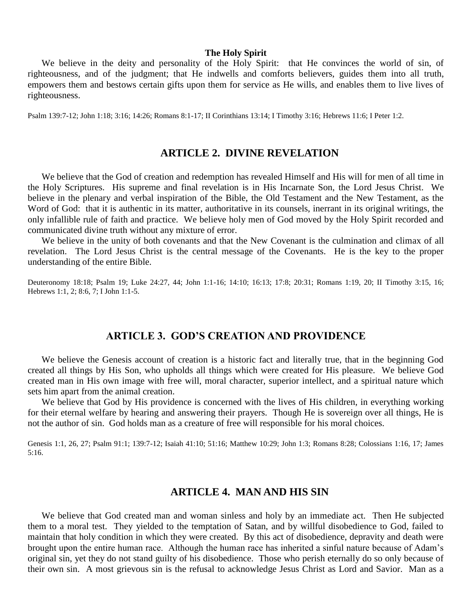#### **The Holy Spirit**

We believe in the deity and personality of the Holy Spirit: that He convinces the world of sin, of righteousness, and of the judgment; that He indwells and comforts believers, guides them into all truth, empowers them and bestows certain gifts upon them for service as He wills, and enables them to live lives of righteousness.

Psalm 139:7-12; John 1:18; 3:16; 14:26; Romans 8:1-17; II Corinthians 13:14; I Timothy 3:16; Hebrews 11:6; I Peter 1:2.

## **ARTICLE 2. DIVINE REVELATION**

We believe that the God of creation and redemption has revealed Himself and His will for men of all time in the Holy Scriptures. His supreme and final revelation is in His Incarnate Son, the Lord Jesus Christ. We believe in the plenary and verbal inspiration of the Bible, the Old Testament and the New Testament, as the Word of God: that it is authentic in its matter, authoritative in its counsels, inerrant in its original writings, the only infallible rule of faith and practice. We believe holy men of God moved by the Holy Spirit recorded and communicated divine truth without any mixture of error.

We believe in the unity of both covenants and that the New Covenant is the culmination and climax of all revelation. The Lord Jesus Christ is the central message of the Covenants. He is the key to the proper understanding of the entire Bible.

Deuteronomy 18:18; Psalm 19; Luke 24:27, 44; John 1:1-16; 14:10; 16:13; 17:8; 20:31; Romans 1:19, 20; II Timothy 3:15, 16; Hebrews 1:1, 2; 8:6, 7; I John 1:1-5.

#### **ARTICLE 3. GOD'S CREATION AND PROVIDENCE**

We believe the Genesis account of creation is a historic fact and literally true, that in the beginning God created all things by His Son, who upholds all things which were created for His pleasure. We believe God created man in His own image with free will, moral character, superior intellect, and a spiritual nature which sets him apart from the animal creation.

We believe that God by His providence is concerned with the lives of His children, in everything working for their eternal welfare by hearing and answering their prayers. Though He is sovereign over all things, He is not the author of sin. God holds man as a creature of free will responsible for his moral choices.

Genesis 1:1, 26, 27; Psalm 91:1; 139:7-12; Isaiah 41:10; 51:16; Matthew 10:29; John 1:3; Romans 8:28; Colossians 1:16, 17; James 5:16.

#### **ARTICLE 4. MAN AND HIS SIN**

We believe that God created man and woman sinless and holy by an immediate act. Then He subjected them to a moral test. They yielded to the temptation of Satan, and by willful disobedience to God, failed to maintain that holy condition in which they were created. By this act of disobedience, depravity and death were brought upon the entire human race. Although the human race has inherited a sinful nature because of Adam's original sin, yet they do not stand guilty of his disobedience. Those who perish eternally do so only because of their own sin. A most grievous sin is the refusal to acknowledge Jesus Christ as Lord and Savior. Man as a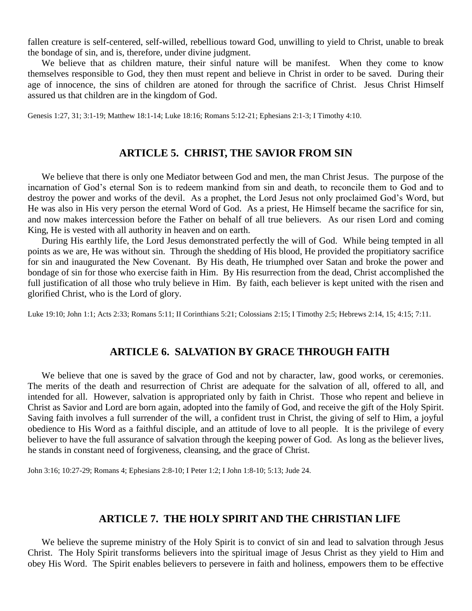fallen creature is self-centered, self-willed, rebellious toward God, unwilling to yield to Christ, unable to break the bondage of sin, and is, therefore, under divine judgment.

We believe that as children mature, their sinful nature will be manifest. When they come to know themselves responsible to God, they then must repent and believe in Christ in order to be saved. During their age of innocence, the sins of children are atoned for through the sacrifice of Christ. Jesus Christ Himself assured us that children are in the kingdom of God.

Genesis 1:27, 31; 3:1-19; Matthew 18:1-14; Luke 18:16; Romans 5:12-21; Ephesians 2:1-3; I Timothy 4:10.

## **ARTICLE 5. CHRIST, THE SAVIOR FROM SIN**

We believe that there is only one Mediator between God and men, the man Christ Jesus. The purpose of the incarnation of God's eternal Son is to redeem mankind from sin and death, to reconcile them to God and to destroy the power and works of the devil. As a prophet, the Lord Jesus not only proclaimed God's Word, but He was also in His very person the eternal Word of God. As a priest, He Himself became the sacrifice for sin, and now makes intercession before the Father on behalf of all true believers. As our risen Lord and coming King, He is vested with all authority in heaven and on earth.

During His earthly life, the Lord Jesus demonstrated perfectly the will of God. While being tempted in all points as we are, He was without sin. Through the shedding of His blood, He provided the propitiatory sacrifice for sin and inaugurated the New Covenant. By His death, He triumphed over Satan and broke the power and bondage of sin for those who exercise faith in Him. By His resurrection from the dead, Christ accomplished the full justification of all those who truly believe in Him. By faith, each believer is kept united with the risen and glorified Christ, who is the Lord of glory.

Luke 19:10; John 1:1; Acts 2:33; Romans 5:11; II Corinthians 5:21; Colossians 2:15; I Timothy 2:5; Hebrews 2:14, 15; 4:15; 7:11.

#### **ARTICLE 6. SALVATION BY GRACE THROUGH FAITH**

We believe that one is saved by the grace of God and not by character, law, good works, or ceremonies. The merits of the death and resurrection of Christ are adequate for the salvation of all, offered to all, and intended for all. However, salvation is appropriated only by faith in Christ. Those who repent and believe in Christ as Savior and Lord are born again, adopted into the family of God, and receive the gift of the Holy Spirit. Saving faith involves a full surrender of the will, a confident trust in Christ, the giving of self to Him, a joyful obedience to His Word as a faithful disciple, and an attitude of love to all people. It is the privilege of every believer to have the full assurance of salvation through the keeping power of God. As long as the believer lives, he stands in constant need of forgiveness, cleansing, and the grace of Christ.

John 3:16; 10:27-29; Romans 4; Ephesians 2:8-10; I Peter 1:2; I John 1:8-10; 5:13; Jude 24.

## **ARTICLE 7. THE HOLY SPIRIT AND THE CHRISTIAN LIFE**

We believe the supreme ministry of the Holy Spirit is to convict of sin and lead to salvation through Jesus Christ. The Holy Spirit transforms believers into the spiritual image of Jesus Christ as they yield to Him and obey His Word. The Spirit enables believers to persevere in faith and holiness, empowers them to be effective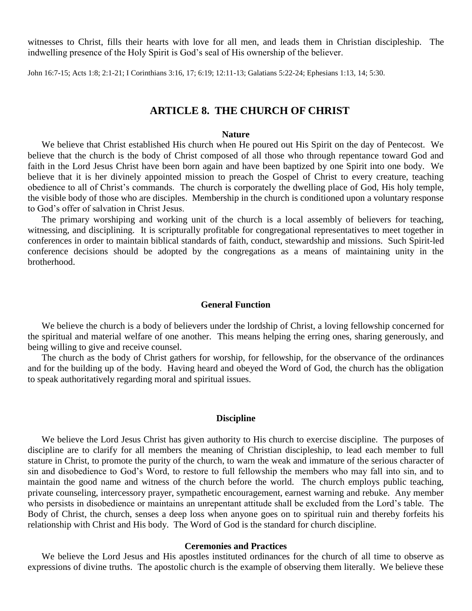witnesses to Christ, fills their hearts with love for all men, and leads them in Christian discipleship. The indwelling presence of the Holy Spirit is God's seal of His ownership of the believer.

John 16:7-15; Acts 1:8; 2:1-21; I Corinthians 3:16, 17; 6:19; 12:11-13; Galatians 5:22-24; Ephesians 1:13, 14; 5:30.

#### **ARTICLE 8. THE CHURCH OF CHRIST**

#### **Nature**

We believe that Christ established His church when He poured out His Spirit on the day of Pentecost. We believe that the church is the body of Christ composed of all those who through repentance toward God and faith in the Lord Jesus Christ have been born again and have been baptized by one Spirit into one body. We believe that it is her divinely appointed mission to preach the Gospel of Christ to every creature, teaching obedience to all of Christ's commands. The church is corporately the dwelling place of God, His holy temple, the visible body of those who are disciples. Membership in the church is conditioned upon a voluntary response to God's offer of salvation in Christ Jesus.

The primary worshiping and working unit of the church is a local assembly of believers for teaching, witnessing, and disciplining. It is scripturally profitable for congregational representatives to meet together in conferences in order to maintain biblical standards of faith, conduct, stewardship and missions. Such Spirit-led conference decisions should be adopted by the congregations as a means of maintaining unity in the brotherhood.

#### **General Function**

We believe the church is a body of believers under the lordship of Christ, a loving fellowship concerned for the spiritual and material welfare of one another. This means helping the erring ones, sharing generously, and being willing to give and receive counsel.

The church as the body of Christ gathers for worship, for fellowship, for the observance of the ordinances and for the building up of the body. Having heard and obeyed the Word of God, the church has the obligation to speak authoritatively regarding moral and spiritual issues.

#### **Discipline**

We believe the Lord Jesus Christ has given authority to His church to exercise discipline. The purposes of discipline are to clarify for all members the meaning of Christian discipleship, to lead each member to full stature in Christ, to promote the purity of the church, to warn the weak and immature of the serious character of sin and disobedience to God's Word, to restore to full fellowship the members who may fall into sin, and to maintain the good name and witness of the church before the world. The church employs public teaching, private counseling, intercessory prayer, sympathetic encouragement, earnest warning and rebuke. Any member who persists in disobedience or maintains an unrepentant attitude shall be excluded from the Lord's table. The Body of Christ, the church, senses a deep loss when anyone goes on to spiritual ruin and thereby forfeits his relationship with Christ and His body. The Word of God is the standard for church discipline.

#### **Ceremonies and Practices**

We believe the Lord Jesus and His apostles instituted ordinances for the church of all time to observe as expressions of divine truths. The apostolic church is the example of observing them literally. We believe these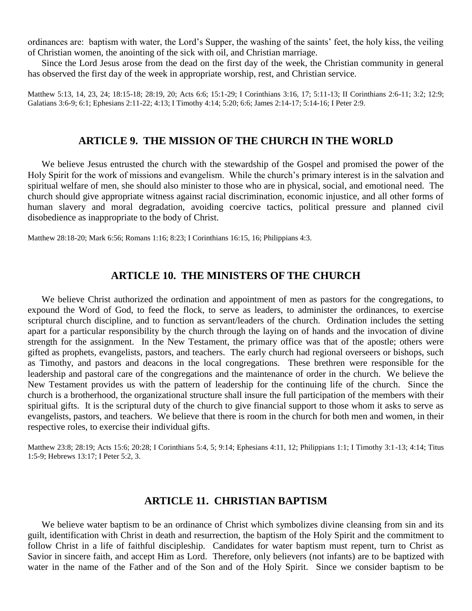ordinances are: baptism with water, the Lord's Supper, the washing of the saints' feet, the holy kiss, the veiling of Christian women, the anointing of the sick with oil, and Christian marriage.

Since the Lord Jesus arose from the dead on the first day of the week, the Christian community in general has observed the first day of the week in appropriate worship, rest, and Christian service.

Matthew 5:13, 14, 23, 24; 18:15-18; 28:19, 20; Acts 6:6; 15:1-29; I Corinthians 3:16, 17; 5:11-13; II Corinthians 2:6-11; 3:2; 12:9; Galatians 3:6-9; 6:1; Ephesians 2:11-22; 4:13; I Timothy 4:14; 5:20; 6:6; James 2:14-17; 5:14-16; I Peter 2:9.

#### **ARTICLE 9. THE MISSION OF THE CHURCH IN THE WORLD**

We believe Jesus entrusted the church with the stewardship of the Gospel and promised the power of the Holy Spirit for the work of missions and evangelism. While the church's primary interest is in the salvation and spiritual welfare of men, she should also minister to those who are in physical, social, and emotional need. The church should give appropriate witness against racial discrimination, economic injustice, and all other forms of human slavery and moral degradation, avoiding coercive tactics, political pressure and planned civil disobedience as inappropriate to the body of Christ.

Matthew 28:18-20; Mark 6:56; Romans 1:16; 8:23; I Corinthians 16:15, 16; Philippians 4:3.

#### **ARTICLE 10. THE MINISTERS OF THE CHURCH**

We believe Christ authorized the ordination and appointment of men as pastors for the congregations, to expound the Word of God, to feed the flock, to serve as leaders, to administer the ordinances, to exercise scriptural church discipline, and to function as servant/leaders of the church. Ordination includes the setting apart for a particular responsibility by the church through the laying on of hands and the invocation of divine strength for the assignment. In the New Testament, the primary office was that of the apostle; others were gifted as prophets, evangelists, pastors, and teachers. The early church had regional overseers or bishops, such as Timothy, and pastors and deacons in the local congregations. These brethren were responsible for the leadership and pastoral care of the congregations and the maintenance of order in the church. We believe the New Testament provides us with the pattern of leadership for the continuing life of the church. Since the church is a brotherhood, the organizational structure shall insure the full participation of the members with their spiritual gifts. It is the scriptural duty of the church to give financial support to those whom it asks to serve as evangelists, pastors, and teachers. We believe that there is room in the church for both men and women, in their respective roles, to exercise their individual gifts.

Matthew 23:8; 28:19; Acts 15:6; 20:28; I Corinthians 5:4, 5; 9:14; Ephesians 4:11, 12; Philippians 1:1; I Timothy 3:1-13; 4:14; Titus 1:5-9; Hebrews 13:17; I Peter 5:2, 3.

### **ARTICLE 11. CHRISTIAN BAPTISM**

We believe water baptism to be an ordinance of Christ which symbolizes divine cleansing from sin and its guilt, identification with Christ in death and resurrection, the baptism of the Holy Spirit and the commitment to follow Christ in a life of faithful discipleship. Candidates for water baptism must repent, turn to Christ as Savior in sincere faith, and accept Him as Lord. Therefore, only believers (not infants) are to be baptized with water in the name of the Father and of the Son and of the Holy Spirit. Since we consider baptism to be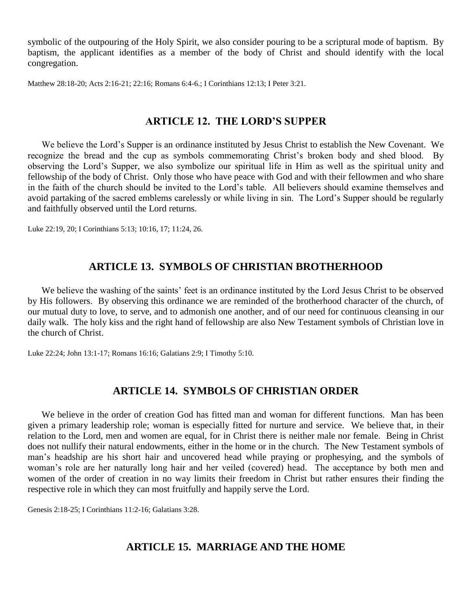symbolic of the outpouring of the Holy Spirit, we also consider pouring to be a scriptural mode of baptism. By baptism, the applicant identifies as a member of the body of Christ and should identify with the local congregation.

Matthew 28:18-20; Acts 2:16-21; 22:16; Romans 6:4-6.; I Corinthians 12:13; I Peter 3:21.

## **ARTICLE 12. THE LORD'S SUPPER**

We believe the Lord's Supper is an ordinance instituted by Jesus Christ to establish the New Covenant. We recognize the bread and the cup as symbols commemorating Christ's broken body and shed blood. By observing the Lord's Supper, we also symbolize our spiritual life in Him as well as the spiritual unity and fellowship of the body of Christ. Only those who have peace with God and with their fellowmen and who share in the faith of the church should be invited to the Lord's table. All believers should examine themselves and avoid partaking of the sacred emblems carelessly or while living in sin. The Lord's Supper should be regularly and faithfully observed until the Lord returns.

Luke 22:19, 20; I Corinthians 5:13; 10:16, 17; 11:24, 26.

## **ARTICLE 13. SYMBOLS OF CHRISTIAN BROTHERHOOD**

We believe the washing of the saints' feet is an ordinance instituted by the Lord Jesus Christ to be observed by His followers. By observing this ordinance we are reminded of the brotherhood character of the church, of our mutual duty to love, to serve, and to admonish one another, and of our need for continuous cleansing in our daily walk. The holy kiss and the right hand of fellowship are also New Testament symbols of Christian love in the church of Christ.

Luke 22:24; John 13:1-17; Romans 16:16; Galatians 2:9; I Timothy 5:10.

## **ARTICLE 14. SYMBOLS OF CHRISTIAN ORDER**

We believe in the order of creation God has fitted man and woman for different functions. Man has been given a primary leadership role; woman is especially fitted for nurture and service. We believe that, in their relation to the Lord, men and women are equal, for in Christ there is neither male nor female. Being in Christ does not nullify their natural endowments, either in the home or in the church. The New Testament symbols of man's headship are his short hair and uncovered head while praying or prophesying, and the symbols of woman's role are her naturally long hair and her veiled (covered) head. The acceptance by both men and women of the order of creation in no way limits their freedom in Christ but rather ensures their finding the respective role in which they can most fruitfully and happily serve the Lord.

Genesis 2:18-25; I Corinthians 11:2-16; Galatians 3:28.

## **ARTICLE 15. MARRIAGE AND THE HOME**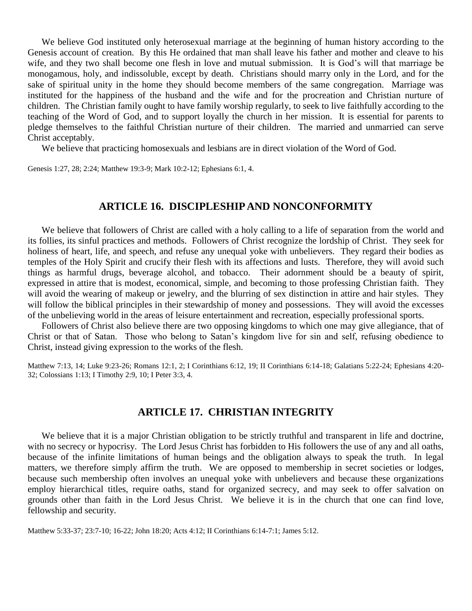We believe God instituted only heterosexual marriage at the beginning of human history according to the Genesis account of creation. By this He ordained that man shall leave his father and mother and cleave to his wife, and they two shall become one flesh in love and mutual submission. It is God's will that marriage be monogamous, holy, and indissoluble, except by death. Christians should marry only in the Lord, and for the sake of spiritual unity in the home they should become members of the same congregation. Marriage was instituted for the happiness of the husband and the wife and for the procreation and Christian nurture of children. The Christian family ought to have family worship regularly, to seek to live faithfully according to the teaching of the Word of God, and to support loyally the church in her mission. It is essential for parents to pledge themselves to the faithful Christian nurture of their children. The married and unmarried can serve Christ acceptably.

We believe that practicing homosexuals and lesbians are in direct violation of the Word of God.

Genesis 1:27, 28; 2:24; Matthew 19:3-9; Mark 10:2-12; Ephesians 6:1, 4.

#### **ARTICLE 16. DISCIPLESHIP AND NONCONFORMITY**

We believe that followers of Christ are called with a holy calling to a life of separation from the world and its follies, its sinful practices and methods. Followers of Christ recognize the lordship of Christ. They seek for holiness of heart, life, and speech, and refuse any unequal yoke with unbelievers. They regard their bodies as temples of the Holy Spirit and crucify their flesh with its affections and lusts. Therefore, they will avoid such things as harmful drugs, beverage alcohol, and tobacco. Their adornment should be a beauty of spirit, expressed in attire that is modest, economical, simple, and becoming to those professing Christian faith. They will avoid the wearing of makeup or jewelry, and the blurring of sex distinction in attire and hair styles. They will follow the biblical principles in their stewardship of money and possessions. They will avoid the excesses of the unbelieving world in the areas of leisure entertainment and recreation, especially professional sports.

Followers of Christ also believe there are two opposing kingdoms to which one may give allegiance, that of Christ or that of Satan. Those who belong to Satan's kingdom live for sin and self, refusing obedience to Christ, instead giving expression to the works of the flesh.

Matthew 7:13, 14; Luke 9:23-26; Romans 12:1, 2; I Corinthians 6:12, 19; II Corinthians 6:14-18; Galatians 5:22-24; Ephesians 4:20- 32; Colossians 1:13; I Timothy 2:9, 10; I Peter 3:3, 4.

#### **ARTICLE 17. CHRISTIAN INTEGRITY**

We believe that it is a major Christian obligation to be strictly truthful and transparent in life and doctrine, with no secrecy or hypocrisy. The Lord Jesus Christ has forbidden to His followers the use of any and all oaths, because of the infinite limitations of human beings and the obligation always to speak the truth. In legal matters, we therefore simply affirm the truth. We are opposed to membership in secret societies or lodges, because such membership often involves an unequal yoke with unbelievers and because these organizations employ hierarchical titles, require oaths, stand for organized secrecy, and may seek to offer salvation on grounds other than faith in the Lord Jesus Christ. We believe it is in the church that one can find love, fellowship and security.

Matthew 5:33-37; 23:7-10; 16-22; John 18:20; Acts 4:12; II Corinthians 6:14-7:1; James 5:12.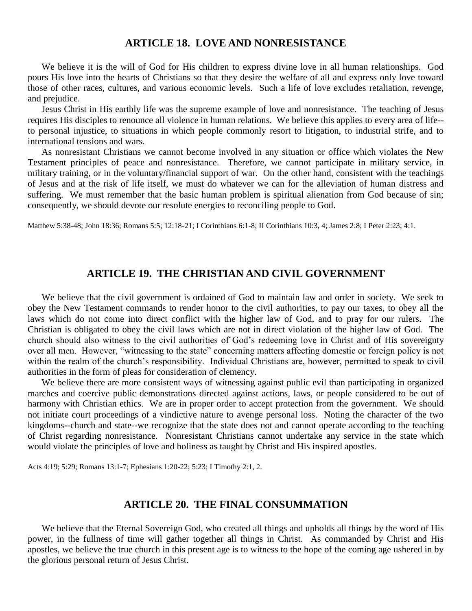### **ARTICLE 18. LOVE AND NONRESISTANCE**

We believe it is the will of God for His children to express divine love in all human relationships. God pours His love into the hearts of Christians so that they desire the welfare of all and express only love toward those of other races, cultures, and various economic levels. Such a life of love excludes retaliation, revenge, and prejudice.

Jesus Christ in His earthly life was the supreme example of love and nonresistance. The teaching of Jesus requires His disciples to renounce all violence in human relations. We believe this applies to every area of life- to personal injustice, to situations in which people commonly resort to litigation, to industrial strife, and to international tensions and wars.

As nonresistant Christians we cannot become involved in any situation or office which violates the New Testament principles of peace and nonresistance. Therefore, we cannot participate in military service, in military training, or in the voluntary/financial support of war. On the other hand, consistent with the teachings of Jesus and at the risk of life itself, we must do whatever we can for the alleviation of human distress and suffering. We must remember that the basic human problem is spiritual alienation from God because of sin; consequently, we should devote our resolute energies to reconciling people to God.

Matthew 5:38-48; John 18:36; Romans 5:5; 12:18-21; I Corinthians 6:1-8; II Corinthians 10:3, 4; James 2:8; I Peter 2:23; 4:1.

### **ARTICLE 19. THE CHRISTIAN AND CIVIL GOVERNMENT**

We believe that the civil government is ordained of God to maintain law and order in society. We seek to obey the New Testament commands to render honor to the civil authorities, to pay our taxes, to obey all the laws which do not come into direct conflict with the higher law of God, and to pray for our rulers. The Christian is obligated to obey the civil laws which are not in direct violation of the higher law of God. The church should also witness to the civil authorities of God's redeeming love in Christ and of His sovereignty over all men. However, "witnessing to the state" concerning matters affecting domestic or foreign policy is not within the realm of the church's responsibility. Individual Christians are, however, permitted to speak to civil authorities in the form of pleas for consideration of clemency.

We believe there are more consistent ways of witnessing against public evil than participating in organized marches and coercive public demonstrations directed against actions, laws, or people considered to be out of harmony with Christian ethics. We are in proper order to accept protection from the government. We should not initiate court proceedings of a vindictive nature to avenge personal loss. Noting the character of the two kingdoms--church and state--we recognize that the state does not and cannot operate according to the teaching of Christ regarding nonresistance. Nonresistant Christians cannot undertake any service in the state which would violate the principles of love and holiness as taught by Christ and His inspired apostles.

Acts 4:19; 5:29; Romans 13:1-7; Ephesians 1:20-22; 5:23; I Timothy 2:1, 2.

#### **ARTICLE 20. THE FINAL CONSUMMATION**

We believe that the Eternal Sovereign God, who created all things and upholds all things by the word of His power, in the fullness of time will gather together all things in Christ. As commanded by Christ and His apostles, we believe the true church in this present age is to witness to the hope of the coming age ushered in by the glorious personal return of Jesus Christ.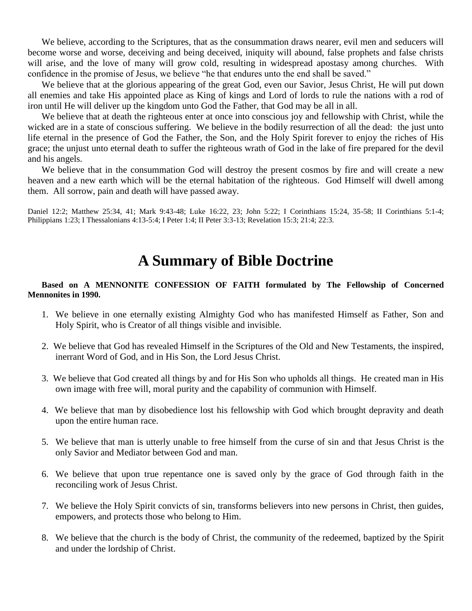We believe, according to the Scriptures, that as the consummation draws nearer, evil men and seducers will become worse and worse, deceiving and being deceived, iniquity will abound, false prophets and false christs will arise, and the love of many will grow cold, resulting in widespread apostasy among churches. With confidence in the promise of Jesus, we believe "he that endures unto the end shall be saved."

We believe that at the glorious appearing of the great God, even our Savior, Jesus Christ, He will put down all enemies and take His appointed place as King of kings and Lord of lords to rule the nations with a rod of iron until He will deliver up the kingdom unto God the Father, that God may be all in all.

We believe that at death the righteous enter at once into conscious joy and fellowship with Christ, while the wicked are in a state of conscious suffering. We believe in the bodily resurrection of all the dead: the just unto life eternal in the presence of God the Father, the Son, and the Holy Spirit forever to enjoy the riches of His grace; the unjust unto eternal death to suffer the righteous wrath of God in the lake of fire prepared for the devil and his angels.

We believe that in the consummation God will destroy the present cosmos by fire and will create a new heaven and a new earth which will be the eternal habitation of the righteous. God Himself will dwell among them. All sorrow, pain and death will have passed away.

Daniel 12:2; Matthew 25:34, 41; Mark 9:43-48; Luke 16:22, 23; John 5:22; I Corinthians 15:24, 35-58; II Corinthians 5:1-4; Philippians 1:23; I Thessalonians 4:13-5:4; I Peter 1:4; II Peter 3:3-13; Revelation 15:3; 21:4; 22:3.

# **A Summary of Bible Doctrine**

#### **Based on A MENNONITE CONFESSION OF FAITH formulated by The Fellowship of Concerned Mennonites in 1990.**

- 1. We believe in one eternally existing Almighty God who has manifested Himself as Father, Son and Holy Spirit, who is Creator of all things visible and invisible.
- 2. We believe that God has revealed Himself in the Scriptures of the Old and New Testaments, the inspired, inerrant Word of God, and in His Son, the Lord Jesus Christ.
- 3. We believe that God created all things by and for His Son who upholds all things. He created man in His own image with free will, moral purity and the capability of communion with Himself.
- 4. We believe that man by disobedience lost his fellowship with God which brought depravity and death upon the entire human race.
- 5. We believe that man is utterly unable to free himself from the curse of sin and that Jesus Christ is the only Savior and Mediator between God and man.
- 6. We believe that upon true repentance one is saved only by the grace of God through faith in the reconciling work of Jesus Christ.
- 7. We believe the Holy Spirit convicts of sin, transforms believers into new persons in Christ, then guides, empowers, and protects those who belong to Him.
- 8. We believe that the church is the body of Christ, the community of the redeemed, baptized by the Spirit and under the lordship of Christ.